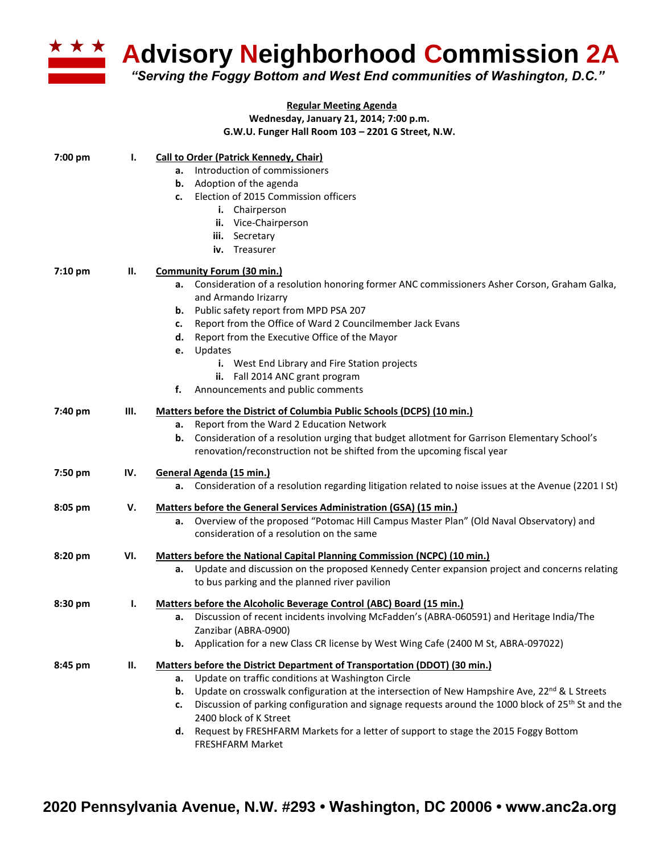

**Advisory Neighborhood Commission 2A**

*"Serving the Foggy Bottom and West End communities of Washington, D.C."*

|         |     | <b>Regular Meeting Agenda</b>                                                                                                                 |
|---------|-----|-----------------------------------------------------------------------------------------------------------------------------------------------|
|         |     | Wednesday, January 21, 2014; 7:00 p.m.                                                                                                        |
|         |     | G.W.U. Funger Hall Room 103 - 2201 G Street, N.W.                                                                                             |
| 7:00 pm | Ι.  | <b>Call to Order (Patrick Kennedy, Chair)</b>                                                                                                 |
|         |     | Introduction of commissioners<br>а.                                                                                                           |
|         |     | Adoption of the agenda<br>b.                                                                                                                  |
|         |     | Election of 2015 Commission officers<br>c.                                                                                                    |
|         |     | i. Chairperson                                                                                                                                |
|         |     | ii. Vice-Chairperson                                                                                                                          |
|         |     | iii. Secretary                                                                                                                                |
|         |     | iv. Treasurer                                                                                                                                 |
| 7:10 pm | Ш.  | <b>Community Forum (30 min.)</b>                                                                                                              |
|         |     | Consideration of a resolution honoring former ANC commissioners Asher Corson, Graham Galka,<br>а.                                             |
|         |     | and Armando Irizarry                                                                                                                          |
|         |     | Public safety report from MPD PSA 207<br>b.<br>Report from the Office of Ward 2 Councilmember Jack Evans                                      |
|         |     | c.<br>Report from the Executive Office of the Mayor<br>d.                                                                                     |
|         |     | Updates<br>e.                                                                                                                                 |
|         |     | i. West End Library and Fire Station projects                                                                                                 |
|         |     | ii. Fall 2014 ANC grant program                                                                                                               |
|         |     | Announcements and public comments<br>f.                                                                                                       |
| 7:40 pm | Ш.  | Matters before the District of Columbia Public Schools (DCPS) (10 min.)                                                                       |
|         |     | Report from the Ward 2 Education Network<br>а.                                                                                                |
|         |     | Consideration of a resolution urging that budget allotment for Garrison Elementary School's<br>b.                                             |
|         |     | renovation/reconstruction not be shifted from the upcoming fiscal year                                                                        |
| 7:50 pm | IV. | General Agenda (15 min.)                                                                                                                      |
|         |     | Consideration of a resolution regarding litigation related to noise issues at the Avenue (22011St)<br>а.                                      |
| 8:05 pm | v.  | Matters before the General Services Administration (GSA) (15 min.)                                                                            |
|         |     | Overview of the proposed "Potomac Hill Campus Master Plan" (Old Naval Observatory) and<br>а.                                                  |
|         |     | consideration of a resolution on the same                                                                                                     |
| 8:20 pm | VI. | Matters before the National Capital Planning Commission (NCPC) (10 min.)                                                                      |
|         |     | Update and discussion on the proposed Kennedy Center expansion project and concerns relating<br>а.                                            |
|         |     | to bus parking and the planned river pavilion                                                                                                 |
| 8:30 pm | ı.  | Matters before the Alcoholic Beverage Control (ABC) Board (15 min.)                                                                           |
|         |     | a. Discussion of recent incidents involving McFadden's (ABRA-060591) and Heritage India/The                                                   |
|         |     | Zanzibar (ABRA-0900)                                                                                                                          |
|         |     | <b>b.</b> Application for a new Class CR license by West Wing Cafe (2400 M St, ABRA-097022)                                                   |
| 8:45 pm | н.  | Matters before the District Department of Transportation (DDOT) (30 min.)                                                                     |
|         |     | Update on traffic conditions at Washington Circle<br>а.                                                                                       |
|         |     | Update on crosswalk configuration at the intersection of New Hampshire Ave, 22 <sup>nd</sup> & L Streets<br>b.                                |
|         |     | Discussion of parking configuration and signage requests around the 1000 block of 25 <sup>th</sup> St and the<br>c.<br>2400 block of K Street |
|         |     | Request by FRESHFARM Markets for a letter of support to stage the 2015 Foggy Bottom<br>d.                                                     |
|         |     | <b>FRESHFARM Market</b>                                                                                                                       |